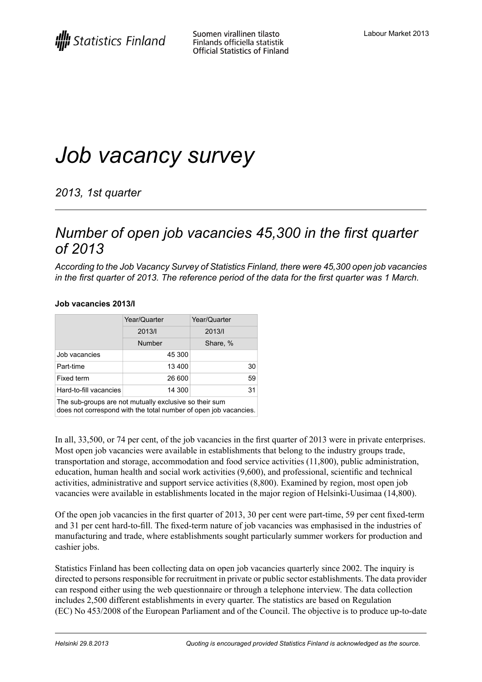# *Job vacancy survey*

*2013, 1st quarter*

## *Number of open job vacancies 45,300 in the first quarter of 2013*

*According to the Job Vacancy Survey of Statistics Finland, there were 45,300 open job vacancies* in the first quarter of 2013. The reference period of the data for the first quarter was 1 March.

### **Job vacancies 2013/I**

|                        | Year/Quarter  | Year/Quarter    |
|------------------------|---------------|-----------------|
|                        | 2013/         | 2013/           |
|                        | <b>Number</b> | Share, %        |
| Job vacancies          | 45 300        |                 |
| Part-time              | 13 400        | 30 <sup>1</sup> |
| Fixed term             | 26 600        | 59              |
| Hard-to-fill vacancies | 14 300        | 31              |

The sub-groups are not mutually exclusive so their sum

does not correspond with the total number of open job vacancies.

In all, 33,500, or 74 per cent, of the job vacancies in the first quarter of 2013 were in private enterprises. Most open job vacancies were available in establishments that belong to the industry groups trade, transportation and storage, accommodation and food service activities (11,800), public administration, education, human health and social work activities (9,600), and professional, scientific and technical activities, administrative and support service activities (8,800). Examined by region, most open job vacancies were available in establishments located in the major region of Helsinki-Uusimaa (14,800).

Of the open job vacancies in the first quarter of 2013, 30 per cent were part-time, 59 per cent fixed-term and 31 per cent hard-to-fill. The fixed-term nature of job vacancies was emphasised in the industries of manufacturing and trade, where establishments sought particularly summer workers for production and cashier jobs.

Statistics Finland has been collecting data on open job vacancies quarterly since 2002. The inquiry is directed to persons responsible for recruitment in private or public sector establishments. The data provider can respond either using the web questionnaire or through a telephone interview. The data collection includes 2,500 different establishments in every quarter. The statistics are based on Regulation (EC) No 453/2008 of the European Parliament and of the Council. The objective is to produce up-to-date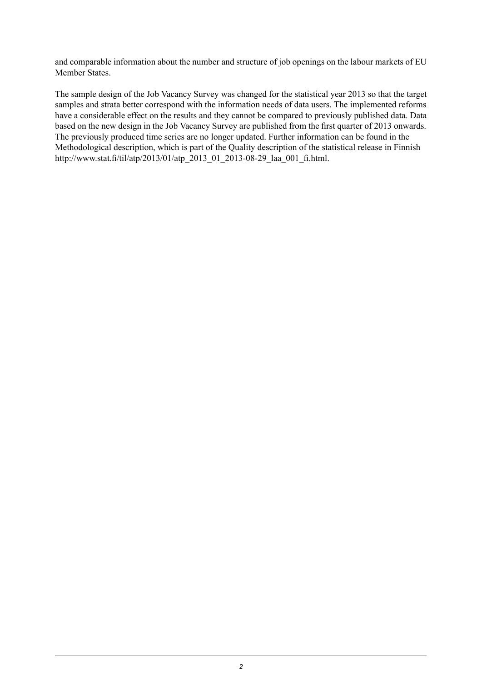and comparable information about the number and structure of job openings on the labour markets of EU Member States.

The sample design of the Job Vacancy Survey was changed for the statistical year 2013 so that the target samples and strata better correspond with the information needs of data users. The implemented reforms have a considerable effect on the results and they cannot be compared to previously published data. Data based on the new design in the Job Vacancy Survey are published from the first quarter of 2013 onwards. The previously produced time series are no longer updated. Further information can be found in the Methodological description, which is part of the Quality description of the statistical release in Finnish http://www.stat.fi/til/atp/2013/01/atp\_2013\_01\_2013-08-29\_laa\_001\_fi.html.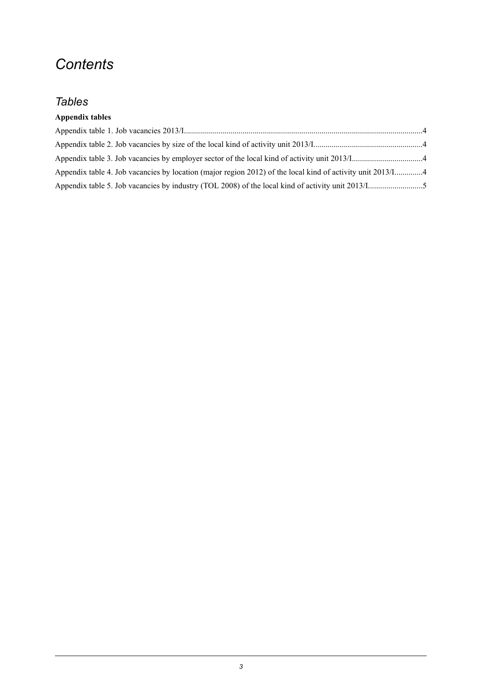# *Contents*

### *Tables*

### **Appendix tables**

| Appendix table 4. Job vacancies by location (major region 2012) of the local kind of activity unit 2013/14 |  |
|------------------------------------------------------------------------------------------------------------|--|
|                                                                                                            |  |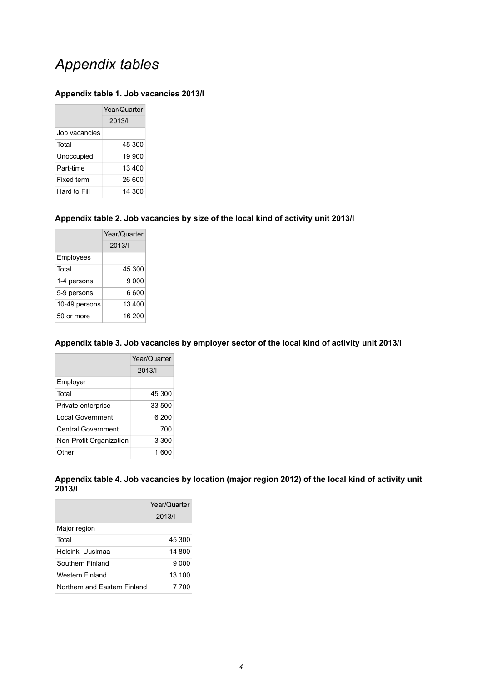## *Appendix tables*

#### <span id="page-3-0"></span>**Appendix table 1. Job vacancies 2013/I**

|               | Year/Quarter |  |
|---------------|--------------|--|
|               | 2013/        |  |
| Job vacancies |              |  |
| Total         | 45 300       |  |
| Unoccupied    | 19 900       |  |
| Part-time     | 13400        |  |
| Fixed term    | 26 600       |  |
| Hard to Fill  | 14 300       |  |

#### <span id="page-3-1"></span>**Appendix table 2. Job vacancies by size of the local kind of activity unit 2013/I**

|               | Year/Quarter |
|---------------|--------------|
|               | 2013/1       |
| Employees     |              |
| Total         | 45 300       |
| 1-4 persons   | 9 0 0 0      |
| 5-9 persons   | 6 600        |
| 10-49 persons | 13 400       |
| 50 or more    | 16 200       |

#### <span id="page-3-2"></span>**Appendix table 3. Job vacancies by employer sector of the local kind of activity unit 2013/I**

|                         | Year/Quarter |  |
|-------------------------|--------------|--|
|                         | 2013/        |  |
| Employer                |              |  |
| Total                   | 45 300       |  |
| Private enterprise      | 33 500       |  |
| Local Government        | 6 200        |  |
| Central Government      | 700          |  |
| Non-Profit Organization | 3 300        |  |
| Other                   | 1 600        |  |

<span id="page-3-3"></span>**Appendix table 4. Job vacancies by location (major region 2012) of the local kind of activity unit 2013/I**

|                              | Year/Quarter |
|------------------------------|--------------|
|                              | 2013/        |
| Major region                 |              |
| Total                        | 45 300       |
| Helsinki-Uusimaa             | 14 800       |
| Southern Finland             | 9 000        |
| Western Finland              | 13 100       |
| Northern and Eastern Finland | 7 700        |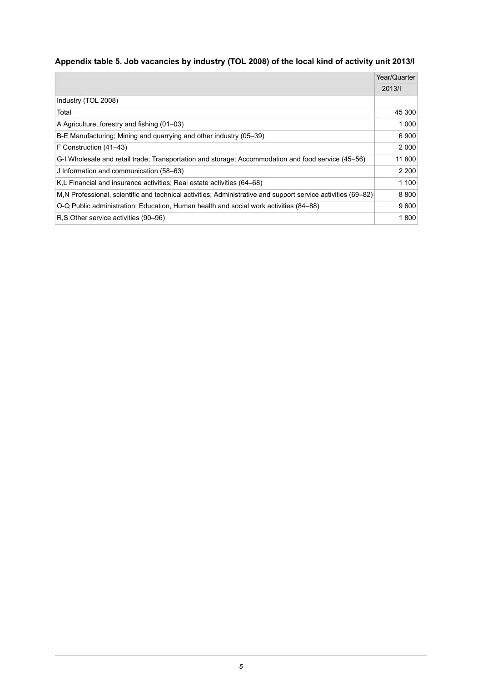### <span id="page-4-0"></span>**Appendix table 5. Job vacancies by industry (TOL 2008) of the local kind of activity unit 2013/I**

|                                                                                                               | Year/Quarter |
|---------------------------------------------------------------------------------------------------------------|--------------|
|                                                                                                               | 2013/1       |
| Industry (TOL 2008)                                                                                           |              |
| Total                                                                                                         | 45 300       |
| A Agriculture, forestry and fishing (01–03)                                                                   | 1 0 0 0      |
| B-E Manufacturing; Mining and quarrying and other industry (05–39)                                            | 6900         |
| F Construction (41–43)                                                                                        | 2000         |
| G-I Wholesale and retail trade; Transportation and storage; Accommodation and food service (45–56)            | 11 800       |
| J Information and communication (58–63)                                                                       | 2 2 0 0      |
| K.L Financial and insurance activities: Real estate activities (64–68)                                        | 1 100        |
| M, N Professional, scientific and technical activities; Administrative and support service activities (69–82) | 8800         |
| O-Q Public administration; Education, Human health and social work activities (84–88)                         | 9600         |
| R.S Other service activities (90–96)                                                                          | 1800         |